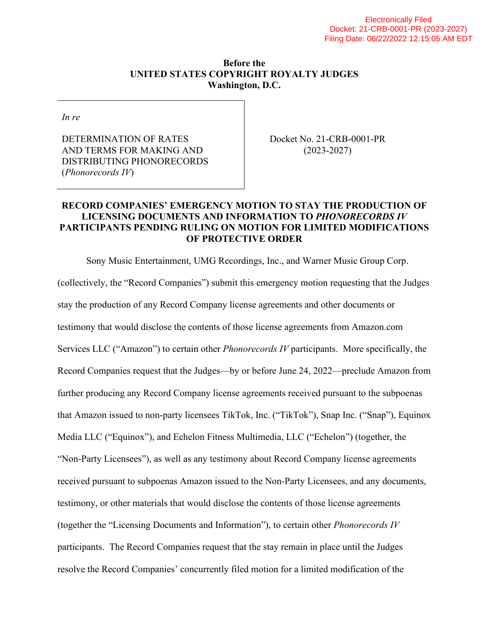#### **Before the UNITED STATES COPYRIGHT ROYALTY JUDGES Washington, D.C.**

*In re* 

DETERMINATION OF RATES AND TERMS FOR MAKING AND DISTRIBUTING PHONORECORDS (*Phonorecords IV*)

Docket No. 21-CRB-0001-PR (2023-2027)

## **RECORD COMPANIES' EMERGENCY MOTION TO STAY THE PRODUCTION OF LICENSING DOCUMENTS AND INFORMATION TO** *PHONORECORDS IV* **PARTICIPANTS PENDING RULING ON MOTION FOR LIMITED MODIFICATIONS OF PROTECTIVE ORDER**

Sony Music Entertainment, UMG Recordings, Inc., and Warner Music Group Corp. (collectively, the "Record Companies") submit this emergency motion requesting that the Judges stay the production of any Record Company license agreements and other documents or testimony that would disclose the contents of those license agreements from Amazon.com Services LLC ("Amazon") to certain other *Phonorecords IV* participants. More specifically, the Record Companies request that the Judges—by or before June 24, 2022—preclude Amazon from further producing any Record Company license agreements received pursuant to the subpoenas that Amazon issued to non-party licensees TikTok, Inc. ("TikTok"), Snap Inc. ("Snap"), Equinox Media LLC ("Equinox"), and Echelon Fitness Multimedia, LLC ("Echelon") (together, the "Non-Party Licensees"), as well as any testimony about Record Company license agreements received pursuant to subpoenas Amazon issued to the Non-Party Licensees, and any documents, testimony, or other materials that would disclose the contents of those license agreements (together the "Licensing Documents and Information"), to certain other *Phonorecords IV* participants. The Record Companies request that the stay remain in place until the Judges resolve the Record Companies' concurrently filed motion for a limited modification of the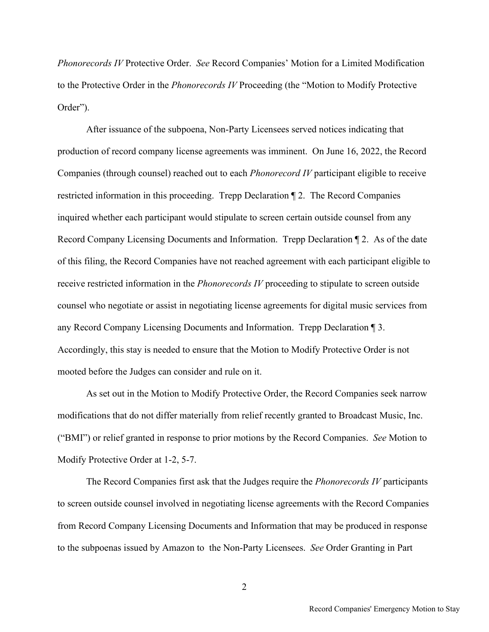*Phonorecords IV* Protective Order. *See* Record Companies' Motion for a Limited Modification to the Protective Order in the *Phonorecords IV* Proceeding (the "Motion to Modify Protective Order").

After issuance of the subpoena, Non-Party Licensees served notices indicating that production of record company license agreements was imminent. On June 16, 2022, the Record Companies (through counsel) reached out to each *Phonorecord IV* participant eligible to receive restricted information in this proceeding. Trepp Declaration ¶ 2. The Record Companies inquired whether each participant would stipulate to screen certain outside counsel from any Record Company Licensing Documents and Information. Trepp Declaration ¶ 2. As of the date of this filing, the Record Companies have not reached agreement with each participant eligible to receive restricted information in the *Phonorecords IV* proceeding to stipulate to screen outside counsel who negotiate or assist in negotiating license agreements for digital music services from any Record Company Licensing Documents and Information. Trepp Declaration ¶ 3. Accordingly, this stay is needed to ensure that the Motion to Modify Protective Order is not mooted before the Judges can consider and rule on it.

As set out in the Motion to Modify Protective Order, the Record Companies seek narrow modifications that do not differ materially from relief recently granted to Broadcast Music, Inc. ("BMI") or relief granted in response to prior motions by the Record Companies. *See* Motion to Modify Protective Order at 1-2, 5-7.

The Record Companies first ask that the Judges require the *Phonorecords IV* participants to screen outside counsel involved in negotiating license agreements with the Record Companies from Record Company Licensing Documents and Information that may be produced in response to the subpoenas issued by Amazon to the Non-Party Licensees. *See* Order Granting in Part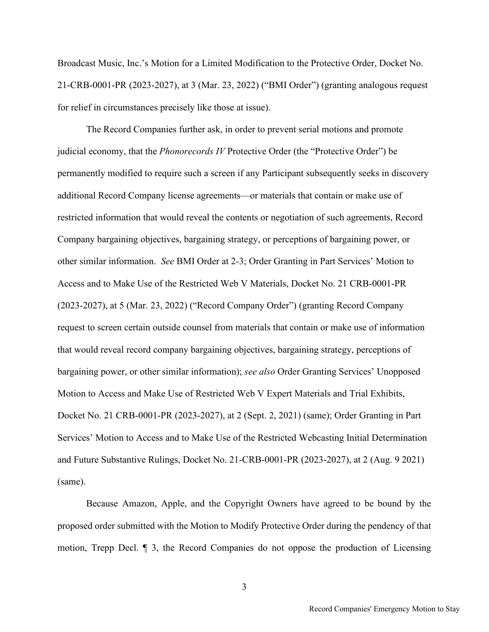Broadcast Music, Inc.'s Motion for a Limited Modification to the Protective Order, Docket No. 21-CRB-0001-PR (2023-2027), at 3 (Mar. 23, 2022) ("BMI Order") (granting analogous request for relief in circumstances precisely like those at issue).

The Record Companies further ask, in order to prevent serial motions and promote judicial economy, that the *Phonorecords IV* Protective Order (the "Protective Order") be permanently modified to require such a screen if any Participant subsequently seeks in discovery additional Record Company license agreements—or materials that contain or make use of restricted information that would reveal the contents or negotiation of such agreements, Record Company bargaining objectives, bargaining strategy, or perceptions of bargaining power, or other similar information. *See* BMI Order at 2-3; Order Granting in Part Services' Motion to Access and to Make Use of the Restricted Web V Materials, Docket No. 21 CRB-0001-PR (2023-2027), at 5 (Mar. 23, 2022) ("Record Company Order") (granting Record Company request to screen certain outside counsel from materials that contain or make use of information that would reveal record company bargaining objectives, bargaining strategy, perceptions of bargaining power, or other similar information); *see also* Order Granting Services' Unopposed Motion to Access and Make Use of Restricted Web V Expert Materials and Trial Exhibits, Docket No. 21 CRB-0001-PR (2023-2027), at 2 (Sept. 2, 2021) (same); Order Granting in Part Services' Motion to Access and to Make Use of the Restricted Webcasting Initial Determination and Future Substantive Rulings, Docket No. 21-CRB-0001-PR (2023-2027), at 2 (Aug. 9 2021) (same).

Because Amazon, Apple, and the Copyright Owners have agreed to be bound by the proposed order submitted with the Motion to Modify Protective Order during the pendency of that motion, Trepp Decl. ¶ 3, the Record Companies do not oppose the production of Licensing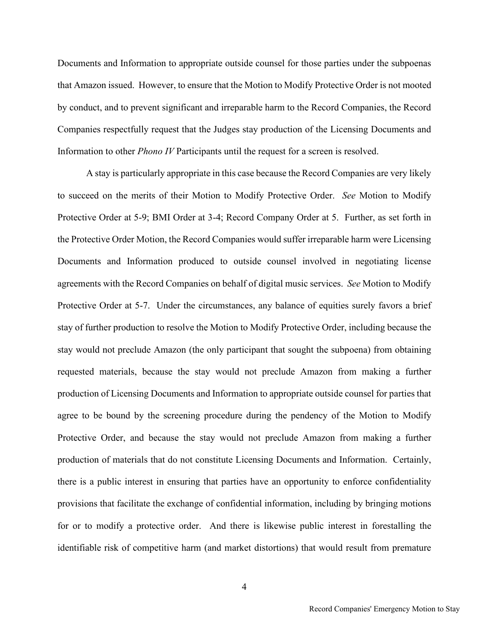Documents and Information to appropriate outside counsel for those parties under the subpoenas that Amazon issued. However, to ensure that the Motion to Modify Protective Order is not mooted by conduct, and to prevent significant and irreparable harm to the Record Companies, the Record Companies respectfully request that the Judges stay production of the Licensing Documents and Information to other *Phono IV* Participants until the request for a screen is resolved.

A stay is particularly appropriate in this case because the Record Companies are very likely to succeed on the merits of their Motion to Modify Protective Order. *See* Motion to Modify Protective Order at 5-9; BMI Order at 3-4; Record Company Order at 5. Further, as set forth in the Protective Order Motion, the Record Companies would suffer irreparable harm were Licensing Documents and Information produced to outside counsel involved in negotiating license agreements with the Record Companies on behalf of digital music services. *See* Motion to Modify Protective Order at 5-7. Under the circumstances, any balance of equities surely favors a brief stay of further production to resolve the Motion to Modify Protective Order, including because the stay would not preclude Amazon (the only participant that sought the subpoena) from obtaining requested materials, because the stay would not preclude Amazon from making a further production of Licensing Documents and Information to appropriate outside counsel for parties that agree to be bound by the screening procedure during the pendency of the Motion to Modify Protective Order, and because the stay would not preclude Amazon from making a further production of materials that do not constitute Licensing Documents and Information. Certainly, there is a public interest in ensuring that parties have an opportunity to enforce confidentiality provisions that facilitate the exchange of confidential information, including by bringing motions for or to modify a protective order. And there is likewise public interest in forestalling the identifiable risk of competitive harm (and market distortions) that would result from premature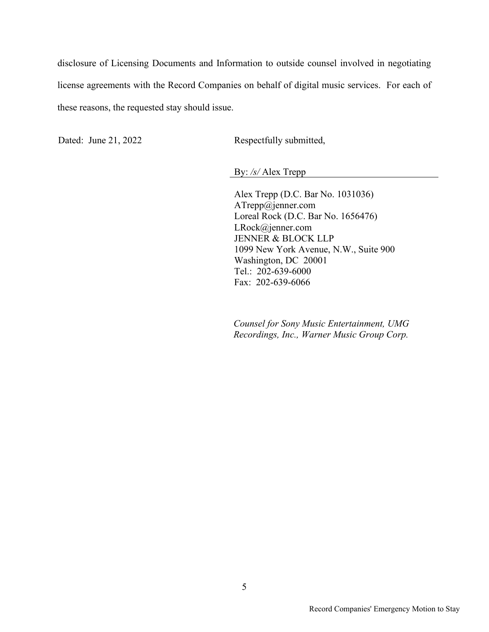disclosure of Licensing Documents and Information to outside counsel involved in negotiating license agreements with the Record Companies on behalf of digital music services. For each of these reasons, the requested stay should issue.

Dated: June 21, 2022 Respectfully submitted,

By: */s/* Alex Trepp

Alex Trepp (D.C. Bar No. 1031036) ATrepp@jenner.com Loreal Rock (D.C. Bar No. 1656476) LRock@jenner.com JENNER & BLOCK LLP 1099 New York Avenue, N.W., Suite 900 Washington, DC 20001 Tel.: 202-639-6000 Fax: 202-639-6066

*Counsel for Sony Music Entertainment, UMG Recordings, Inc., Warner Music Group Corp.*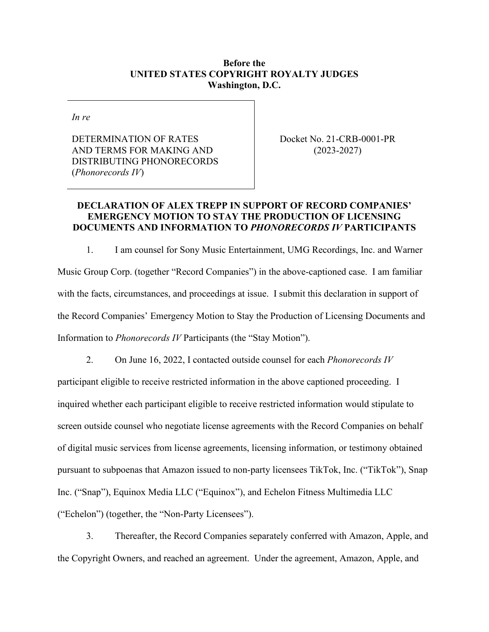### **Before the UNITED STATES COPYRIGHT ROYALTY JUDGES Washington, D.C.**

*In re* 

DETERMINATION OF RATES AND TERMS FOR MAKING AND DISTRIBUTING PHONORECORDS (*Phonorecords IV*)

Docket No. 21-CRB-0001-PR (2023-2027)

## **DECLARATION OF ALEX TREPP IN SUPPORT OF RECORD COMPANIES' EMERGENCY MOTION TO STAY THE PRODUCTION OF LICENSING DOCUMENTS AND INFORMATION TO** *PHONORECORDS IV* **PARTICIPANTS**

1. I am counsel for Sony Music Entertainment, UMG Recordings, Inc. and Warner Music Group Corp. (together "Record Companies") in the above-captioned case. I am familiar with the facts, circumstances, and proceedings at issue. I submit this declaration in support of the Record Companies' Emergency Motion to Stay the Production of Licensing Documents and Information to *Phonorecords IV* Participants (the "Stay Motion").

2. On June 16, 2022, I contacted outside counsel for each *Phonorecords IV* participant eligible to receive restricted information in the above captioned proceeding. I inquired whether each participant eligible to receive restricted information would stipulate to screen outside counsel who negotiate license agreements with the Record Companies on behalf of digital music services from license agreements, licensing information, or testimony obtained pursuant to subpoenas that Amazon issued to non-party licensees TikTok, Inc. ("TikTok"), Snap Inc. ("Snap"), Equinox Media LLC ("Equinox"), and Echelon Fitness Multimedia LLC ("Echelon") (together, the "Non-Party Licensees").

3. Thereafter, the Record Companies separately conferred with Amazon, Apple, and the Copyright Owners, and reached an agreement. Under the agreement, Amazon, Apple, and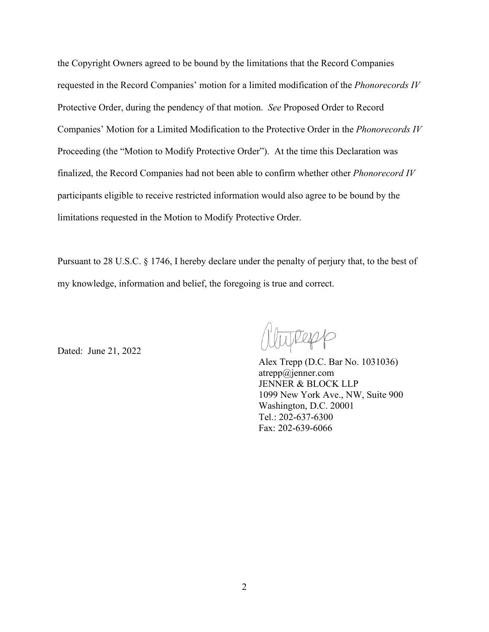the Copyright Owners agreed to be bound by the limitations that the Record Companies requested in the Record Companies' motion for a limited modification of the *Phonorecords IV*  Protective Order, during the pendency of that motion. *See* Proposed Order to Record Companies' Motion for a Limited Modification to the Protective Order in the *Phonorecords IV* Proceeding (the "Motion to Modify Protective Order"). At the time this Declaration was finalized, the Record Companies had not been able to confirm whether other *Phonorecord IV* participants eligible to receive restricted information would also agree to be bound by the limitations requested in the Motion to Modify Protective Order.

Pursuant to 28 U.S.C. § 1746, I hereby declare under the penalty of perjury that, to the best of my knowledge, information and belief, the foregoing is true and correct.

Dated: June 21, 2022

wRepp

Alex Trepp (D.C. Bar No. 1031036) atrepp@jenner.com JENNER & BLOCK LLP 1099 New York Ave., NW, Suite 900 Washington, D.C. 20001 Tel.: 202-637-6300 Fax: 202-639-6066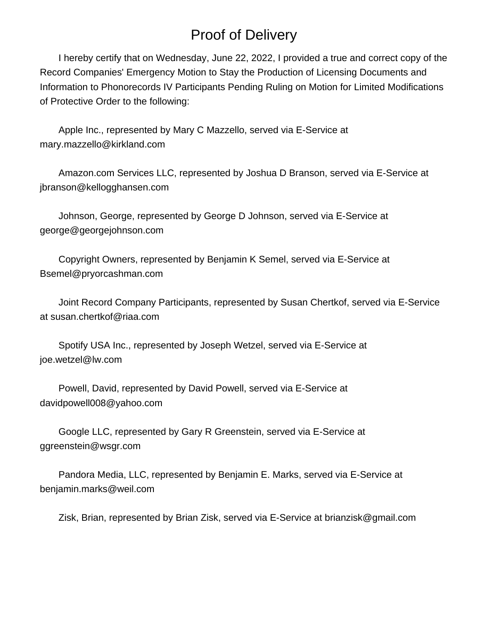# Proof of Delivery

 I hereby certify that on Wednesday, June 22, 2022, I provided a true and correct copy of the Record Companies' Emergency Motion to Stay the Production of Licensing Documents and Information to Phonorecords IV Participants Pending Ruling on Motion for Limited Modifications of Protective Order to the following:

 Apple Inc., represented by Mary C Mazzello, served via E-Service at mary.mazzello@kirkland.com

 Amazon.com Services LLC, represented by Joshua D Branson, served via E-Service at jbranson@kellogghansen.com

 Johnson, George, represented by George D Johnson, served via E-Service at george@georgejohnson.com

 Copyright Owners, represented by Benjamin K Semel, served via E-Service at Bsemel@pryorcashman.com

 Joint Record Company Participants, represented by Susan Chertkof, served via E-Service at susan.chertkof@riaa.com

 Spotify USA Inc., represented by Joseph Wetzel, served via E-Service at joe.wetzel@lw.com

 Powell, David, represented by David Powell, served via E-Service at davidpowell008@yahoo.com

 Google LLC, represented by Gary R Greenstein, served via E-Service at ggreenstein@wsgr.com

 Pandora Media, LLC, represented by Benjamin E. Marks, served via E-Service at benjamin.marks@weil.com

Zisk, Brian, represented by Brian Zisk, served via E-Service at brianzisk@gmail.com